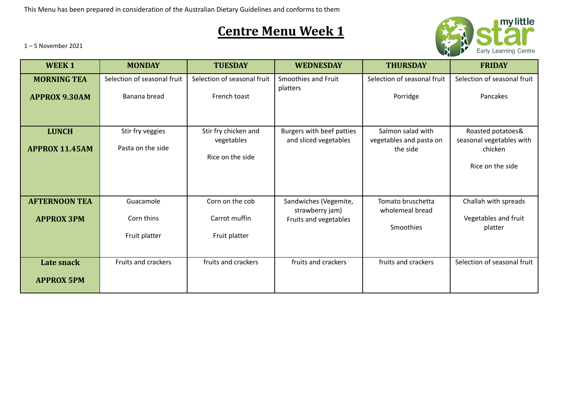This Menu has been prepared in consideration of the Australian Dietary Guidelines and conforms to them

## **Centre Menu Week 1**



1 – 5 November 2021

| <b>WEEK1</b>                               | <b>MONDAY</b>                               | <b>TUESDAY</b>                                         | <b>WEDNESDAY</b>                                                  | <b>THURSDAY</b>                                          | <b>FRIDAY</b>                                                                |
|--------------------------------------------|---------------------------------------------|--------------------------------------------------------|-------------------------------------------------------------------|----------------------------------------------------------|------------------------------------------------------------------------------|
| <b>MORNING TEA</b><br><b>APPROX 9.30AM</b> | Selection of seasonal fruit<br>Banana bread | Selection of seasonal fruit<br>French toast            | Smoothies and Fruit<br>platters                                   | Selection of seasonal fruit<br>Porridge                  | Selection of seasonal fruit<br>Pancakes                                      |
| <b>LUNCH</b><br><b>APPROX 11.45AM</b>      | Stir fry veggies<br>Pasta on the side       | Stir fry chicken and<br>vegetables<br>Rice on the side | Burgers with beef patties<br>and sliced vegetables                | Salmon salad with<br>vegetables and pasta on<br>the side | Roasted potatoes&<br>seasonal vegetables with<br>chicken<br>Rice on the side |
| <b>AFTERNOON TEA</b><br><b>APPROX 3PM</b>  | Guacamole<br>Corn thins<br>Fruit platter    | Corn on the cob<br>Carrot muffin<br>Fruit platter      | Sandwiches (Vegemite,<br>strawberry jam)<br>Fruits and vegetables | Tomato bruschetta<br>wholemeal bread<br>Smoothies        | Challah with spreads<br>Vegetables and fruit<br>platter                      |
| Late snack<br><b>APPROX 5PM</b>            | Fruits and crackers                         | fruits and crackers                                    | fruits and crackers                                               | fruits and crackers                                      | Selection of seasonal fruit                                                  |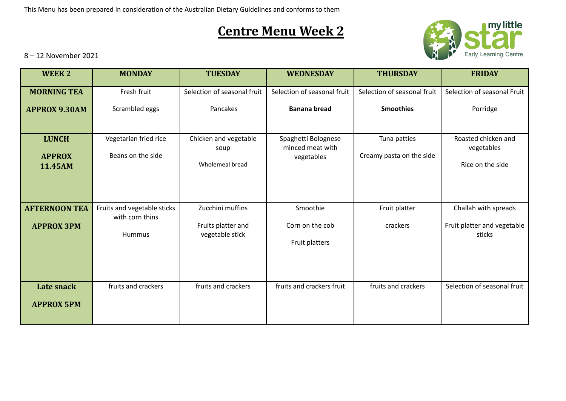This Menu has been prepared in consideration of the Australian Dietary Guidelines and conforms to them

## **Centre Menu Week 2**



8 – 12 November 2021

| <b>WEEK2</b>             | <b>MONDAY</b>                                  | <b>TUESDAY</b>                        | <b>WEDNESDAY</b>                        | <b>THURSDAY</b>             | <b>FRIDAY</b>                         |
|--------------------------|------------------------------------------------|---------------------------------------|-----------------------------------------|-----------------------------|---------------------------------------|
| <b>MORNING TEA</b>       | Fresh fruit                                    | Selection of seasonal fruit           | Selection of seasonal fruit             | Selection of seasonal fruit | Selection of seasonal Fruit           |
| <b>APPROX 9.30AM</b>     | Scrambled eggs                                 | Pancakes                              | <b>Banana bread</b>                     | <b>Smoothies</b>            | Porridge                              |
|                          |                                                |                                       |                                         |                             |                                       |
| <b>LUNCH</b>             | Vegetarian fried rice                          | Chicken and vegetable<br>soup         | Spaghetti Bolognese<br>minced meat with | Tuna patties                | Roasted chicken and<br>vegetables     |
| <b>APPROX</b><br>11.45AM | Beans on the side                              | Wholemeal bread                       | vegetables                              | Creamy pasta on the side    | Rice on the side                      |
|                          |                                                |                                       |                                         |                             |                                       |
|                          |                                                |                                       |                                         |                             |                                       |
| <b>AFTERNOON TEA</b>     | Fruits and vegetable sticks<br>with corn thins | Zucchini muffins                      | Smoothie                                | Fruit platter               | Challah with spreads                  |
| <b>APPROX 3PM</b>        | <b>Hummus</b>                                  | Fruits platter and<br>vegetable stick | Corn on the cob                         | crackers                    | Fruit platter and vegetable<br>sticks |
|                          |                                                |                                       | Fruit platters                          |                             |                                       |
|                          |                                                |                                       |                                         |                             |                                       |
|                          |                                                |                                       |                                         |                             |                                       |
| Late snack               | fruits and crackers                            | fruits and crackers                   | fruits and crackers fruit               | fruits and crackers         | Selection of seasonal fruit           |
| <b>APPROX 5PM</b>        |                                                |                                       |                                         |                             |                                       |
|                          |                                                |                                       |                                         |                             |                                       |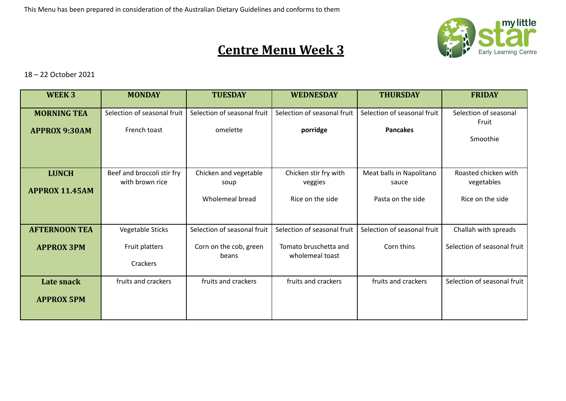

## **Centre Menu Week 3**

18 – 22 October 2021

| WEEK 3                | <b>MONDAY</b>                                 | <b>TUESDAY</b>                  | <b>WEDNESDAY</b>                         | <b>THURSDAY</b>                   | <b>FRIDAY</b>                      |
|-----------------------|-----------------------------------------------|---------------------------------|------------------------------------------|-----------------------------------|------------------------------------|
| <b>MORNING TEA</b>    | Selection of seasonal fruit                   | Selection of seasonal fruit     | Selection of seasonal fruit              | Selection of seasonal fruit       | Selection of seasonal<br>Fruit     |
| <b>APPROX 9:30AM</b>  | French toast                                  | omelette                        | porridge                                 | <b>Pancakes</b>                   | Smoothie                           |
|                       |                                               |                                 |                                          |                                   |                                    |
| <b>LUNCH</b>          | Beef and broccoli stir fry<br>with brown rice | Chicken and vegetable<br>soup   | Chicken stir fry with<br>veggies         | Meat balls in Napolitano<br>sauce | Roasted chicken with<br>vegetables |
| <b>APPROX 11.45AM</b> |                                               | Wholemeal bread                 | Rice on the side                         | Pasta on the side                 | Rice on the side                   |
| <b>AFTERNOON TEA</b>  | Vegetable Sticks                              | Selection of seasonal fruit     | Selection of seasonal fruit              | Selection of seasonal fruit       | Challah with spreads               |
| <b>APPROX 3PM</b>     | Fruit platters<br>Crackers                    | Corn on the cob, green<br>beans | Tomato bruschetta and<br>wholemeal toast | Corn thins                        | Selection of seasonal fruit        |
| Late snack            | fruits and crackers                           | fruits and crackers             | fruits and crackers                      | fruits and crackers               | Selection of seasonal fruit        |
| <b>APPROX 5PM</b>     |                                               |                                 |                                          |                                   |                                    |